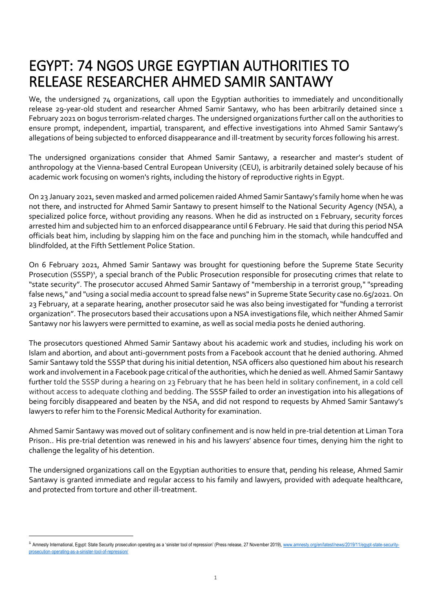## EGYPT: 74 NGOS URGE EGYPTIAN AUTHORITIES TO RELEASE RESEARCHER AHMED SAMIR SANTAWY

We, the undersigned 74 organizations, call upon the Egyptian authorities to immediately and unconditionally release 29-year-old student and researcher Ahmed Samir Santawy, who has been arbitrarily detained since 1 February 2021 on bogus terrorism-related charges. The undersigned organizations further call on the authorities to ensure prompt, independent, impartial, transparent, and effective investigations into Ahmed Samir Santawy's allegations of being subjected to enforced disappearance and ill-treatment by security forces following his arrest.

The undersigned organizations consider that Ahmed Samir Santawy, a researcher and master's student of anthropology at the Vienna-based Central European University (CEU), is arbitrarily detained solely because of his academic work focusing on women's rights, including the history of reproductive rights in Egypt.

On 23 January 2021, seven masked and armed policemen raided Ahmed Samir Santawy's family home when he was not there, and instructed for Ahmed Samir Santawy to present himself to the National Security Agency (NSA), a specialized police force, without providing any reasons. When he did as instructed on 1 February, security forces arrested him and subjected him to an enforced disappearance until 6 February. He said that during this period NSA officials beat him, including by slapping him on the face and punching him in the stomach, while handcuffed and blindfolded, at the Fifth Settlement Police Station.

On 6 February 2021, Ahmed Samir Santawy was brought for questioning before the Supreme State Security Prosecution (SSSP)<sup>1</sup>, a special branch of the Public Prosecution responsible for prosecuting crimes that relate to "state security". The prosecutor accused Ahmed Samir Santawy of "membership in a terrorist group," "spreading false news," and "using a social media account to spread false news" in Supreme State Security case no.65/2021. On 23 February, at a separate hearing, another prosecutor said he was also being investigated for "funding a terrorist organization". The prosecutors based their accusations upon a NSA investigations file, which neither Ahmed Samir Santawy nor his lawyers were permitted to examine, as well as social media posts he denied authoring.

The prosecutors questioned Ahmed Samir Santawy about his academic work and studies, including his work on Islam and abortion, and about anti-government posts from a Facebook account that he denied authoring. Ahmed Samir Santawy told the SSSP that during his initial detention, NSA officers also questioned him about his research work and involvement in a Facebook page critical of the authorities, which he denied as well. Ahmed Samir Santawy further told the SSSP during a hearing on 23 February that he has been held in solitary confinement, in a cold cell without access to adequate clothing and bedding. The SSSP failed to order an investigation into his allegations of being forcibly disappeared and beaten by the NSA, and did not respond to requests by Ahmed Samir Santawy's lawyers to refer him to the Forensic Medical Authority for examination.

Ahmed Samir Santawy was moved out of solitary confinement and is now held in pre-trial detention at Liman Tora Prison.. His pre-trial detention was renewed in his and his lawyers' absence four times, denying him the right to challenge the legality of his detention.

The undersigned organizations call on the Egyptian authorities to ensure that, pending his release, Ahmed Samir Santawy is granted immediate and regular access to his family and lawyers, provided with adequate healthcare, and protected from torture and other ill-treatment.

**-**

<sup>&</sup>lt;sup>1</sup> Amnesty International, Egypt: State Security prosecution operating as a 'sinister tool of repression' (Press release, 27 November 2019)[, www.amnesty.org/en/latest/news/2019/11/egypt-state-security](http://www.amnesty.org/en/latest/news/2019/11/egypt-state-security-prosecution-operating-as-a-sinister-tool-of-repression/)[prosecution-operating-as-a-sinister-tool-of-repression/](http://www.amnesty.org/en/latest/news/2019/11/egypt-state-security-prosecution-operating-as-a-sinister-tool-of-repression/)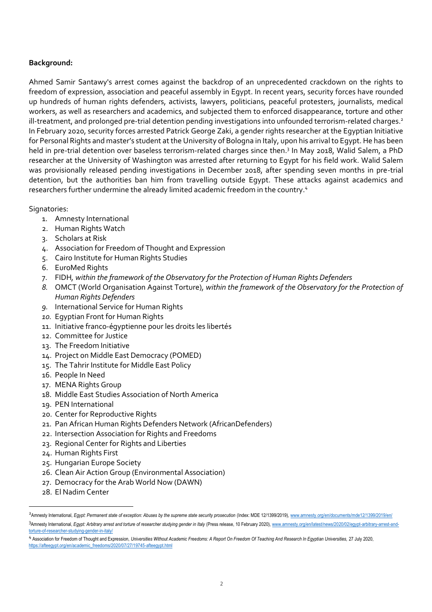## **Background:**

Ahmed Samir Santawy's arrest comes against the backdrop of an unprecedented crackdown on the rights to freedom of expression, association and peaceful assembly in Egypt. In recent years, security forces have rounded up hundreds of human rights defenders, activists, lawyers, politicians, peaceful protesters, journalists, medical workers, as well as researchers and academics, and subjected them to enforced disappearance, torture and other ill-treatment, and prolonged pre-trial detention pending investigations into unfounded terrorism-related charges.<sup>2</sup> In February 2020, security forces arrested Patrick George Zaki, a gender rights researcher at the Egyptian Initiative for Personal Rights and master's student at the University of Bologna in Italy, upon his arrival to Egypt. He has been held in pre-trial detention over baseless terrorism-related charges since then.<sup>3</sup> In May 2018, Walid Salem, a PhD researcher at the University of Washington was arrested after returning to Egypt for his field work. Walid Salem was provisionally released pending investigations in December 2018, after spending seven months in pre-trial detention, but the authorities ban him from travelling outside Egypt. These attacks against academics and researchers further undermine the already limited academic freedom in the country.<sup>4</sup>

## Signatories:

- 1. Amnesty International
- 2. Human Rights Watch
- 3. Scholars at Risk
- 4. Association for Freedom of Thought and Expression
- 5. Cairo Institute for Human Rights Studies
- 6. EuroMed Rights
- 7. FIDH*, within the framework of the Observatory for the Protection of Human Rights Defenders*
- *8.* OMCT (World Organisation Against Torture)*, within the framework of the Observatory for the Protection of Human Rights Defenders*
- *9.* International Service for Human Rights
- *10.* Egyptian Front for Human Rights
- 11. Initiative franco-égyptienne pour les droits les libertés
- 12. Committee for Justice
- 13. The Freedom Initiative
- 14. Project on Middle East Democracy (POMED)
- 15. The Tahrir Institute for Middle East Policy
- 16. People In Need
- 17. MENA Rights Group
- 18. Middle East Studies Association of North America
- 19. PEN International
- 20. Center for Reproductive Rights
- 21. Pan African Human Rights Defenders Network (AfricanDefenders)
- 22. Intersection Association for Rights and Freedoms
- 23. Regional Center for Rights and Liberties
- 24. Human Rights First
- 25. Hungarian Europe Society
- 26. Clean Air Action Group (Environmental Association)
- 27. Democracy for the Arab World Now (DAWN)
- 28. El Nadim Center

1

<sup>&</sup>lt;sup>2</sup>Amnesty International, Egypt: Permanent state of exception: Abuses by the supreme state security prosecution (Index: MDE 12/1399/2019)[, www.amnesty.org/en/documents/mde12/1399/2019/en/](http://www.amnesty.org/en/documents/mde12/1399/2019/en/) 3Amnesty International, Egypt: Arbitrary arrest and torture of researcher studying gender in Italy (Press release, 10 February 2020)[, www.amnesty.org/en/latest/news/2020/02/egypt-arbitrary-arrest-and](http://www.amnesty.org/en/latest/news/2020/02/egypt-arbitrary-arrest-and-torture-of-researcher-studying-gender-in-italy/)[torture-of-researcher-studying-gender-in-italy/](http://www.amnesty.org/en/latest/news/2020/02/egypt-arbitrary-arrest-and-torture-of-researcher-studying-gender-in-italy/)

<sup>4</sup> Association for Freedom of Thought and Expression, Universities Without Academic Freedoms: A Report On Freedom Of Teaching And Research In Egyptian Universities, 27 July 2020, [https://afteegypt.org/en/academic\\_freedoms/2020/07/27/19745-afteegypt.html](https://afteegypt.org/en/academic_freedoms/2020/07/27/19745-afteegypt.html)